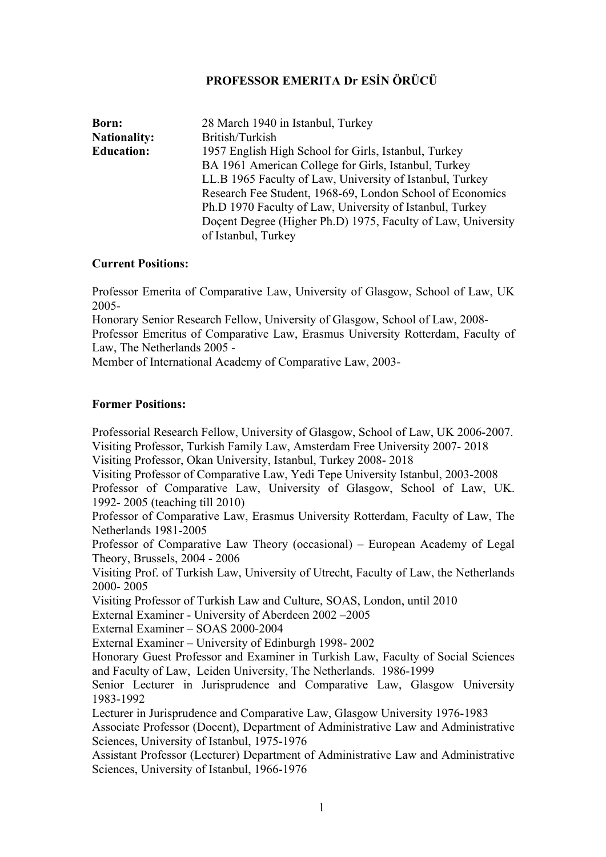# **PROFESSOR EMERITA Dr ESİN ÖRÜCÜ**

| Born:               | 28 March 1940 in Istanbul, Turkey                            |
|---------------------|--------------------------------------------------------------|
| <b>Nationality:</b> | British/Turkish                                              |
| <b>Education:</b>   | 1957 English High School for Girls, Istanbul, Turkey         |
|                     | BA 1961 American College for Girls, Istanbul, Turkey         |
|                     | LL.B 1965 Faculty of Law, University of Istanbul, Turkey     |
|                     | Research Fee Student, 1968-69, London School of Economics    |
|                     | Ph.D 1970 Faculty of Law, University of Istanbul, Turkey     |
|                     | Docent Degree (Higher Ph.D) 1975, Faculty of Law, University |
|                     | of Istanbul, Turkey                                          |

#### **Current Positions:**

Professor Emerita of Comparative Law, University of Glasgow, School of Law, UK 2005-

Honorary Senior Research Fellow, University of Glasgow, School of Law, 2008- Professor Emeritus of Comparative Law, Erasmus University Rotterdam, Faculty of Law, The Netherlands 2005 -

Member of International Academy of Comparative Law, 2003-

## **Former Positions:**

Professorial Research Fellow, University of Glasgow, School of Law, UK 2006-2007. Visiting Professor, Turkish Family Law, Amsterdam Free University 2007- 2018 Visiting Professor, Okan University, Istanbul, Turkey 2008- 2018

Visiting Professor of Comparative Law, Yedi Tepe University Istanbul, 2003-2008 Professor of Comparative Law, University of Glasgow, School of Law, UK. 1992- 2005 (teaching till 2010)

Professor of Comparative Law, Erasmus University Rotterdam, Faculty of Law, The Netherlands 1981-2005

Professor of Comparative Law Theory (occasional) – European Academy of Legal Theory, Brussels, 2004 - 2006

Visiting Prof. of Turkish Law, University of Utrecht, Faculty of Law, the Netherlands 2000- 2005

Visiting Professor of Turkish Law and Culture, SOAS, London, until 2010

External Examiner - University of Aberdeen 2002 –2005

External Examiner – SOAS 2000-2004

External Examiner – University of Edinburgh 1998- 2002

Honorary Guest Professor and Examiner in Turkish Law, Faculty of Social Sciences and Faculty of Law, Leiden University, The Netherlands. 1986-1999

Senior Lecturer in Jurisprudence and Comparative Law, Glasgow University 1983-1992

Lecturer in Jurisprudence and Comparative Law, Glasgow University 1976-1983 Associate Professor (Docent), Department of Administrative Law and Administrative Sciences, University of Istanbul, 1975-1976

Assistant Professor (Lecturer) Department of Administrative Law and Administrative Sciences, University of Istanbul, 1966-1976